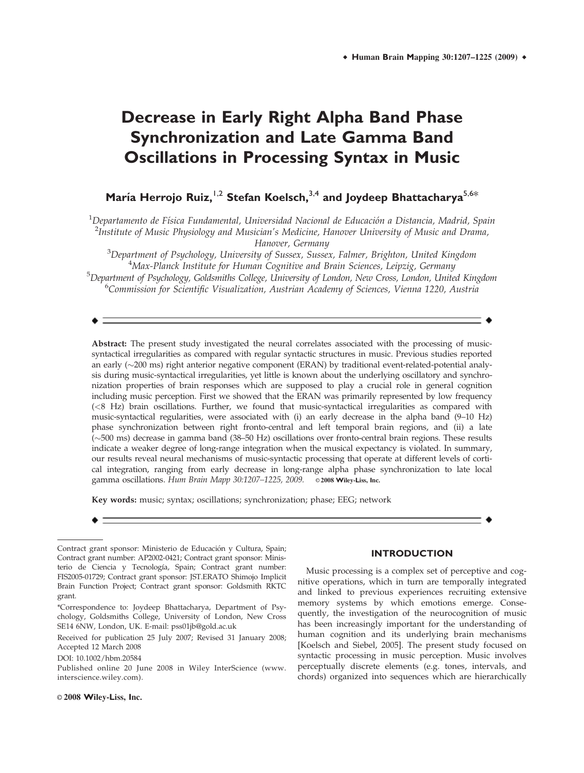$\bullet$ 

# **Decrease in Early Right Alpha Band Phase Synchronization and Late Gamma Band Oscillations in Processing Syntax in Music**

**María Herrojo Ruiz, <sup>1,2</sup> Stefan Koelsch, <sup>3,4</sup> and Joydeep Bhattacharya<sup>5,6\*</sup>** 

 $^1$ Departamento de Física Fundamental, Universidad Nacional de Educación a Distancia, Madrid, Spain  $^2$ Institute of Music Physiology and Musician's Medicine, Hanover University of Music and Drama, Hanover, Germany

 $^3$ Department of Psychology, University of Sussex, Sussex, Falmer, Brighton, United Kingdom 4 Max-Planck Institute for Human Cognitive and Brain Sciences, Leipzig, Germany <sup>5</sup>Department of Psychology, Goldsmiths College, University of London, New Cross, London, United Kingdom 6 Commission for Scientific Visualization, Austrian Academy of Sciences, Vienna 1220, Austria

Abstract: The present study investigated the neural correlates associated with the processing of musicsyntactical irregularities as compared with regular syntactic structures in music. Previous studies reported an early  $(\sim 200 \text{ ms})$  right anterior negative component (ERAN) by traditional event-related-potential analysis during music-syntactical irregularities, yet little is known about the underlying oscillatory and synchronization properties of brain responses which are supposed to play a crucial role in general cognition including music perception. First we showed that the ERAN was primarily represented by low frequency (<8 Hz) brain oscillations. Further, we found that music-syntactical irregularities as compared with music-syntactical regularities, were associated with (i) an early decrease in the alpha band (9–10 Hz) phase synchronization between right fronto-central and left temporal brain regions, and (ii) a late (500 ms) decrease in gamma band (38–50 Hz) oscillations over fronto-central brain regions. These results indicate a weaker degree of long-range integration when the musical expectancy is violated. In summary, our results reveal neural mechanisms of music-syntactic processing that operate at different levels of cortical integration, ranging from early decrease in long-range alpha phase synchronization to late local gamma oscillations. Hum Brain Mapp 30:1207-1225, 2009. **c 2008 Wiley-Liss, Inc.** 

Key words: music; syntax; oscillations; synchronization; phase; EEG; network

# **INTRODUCTION**

Music processing is a complex set of perceptive and cognitive operations, which in turn are temporally integrated and linked to previous experiences recruiting extensive memory systems by which emotions emerge. Consequently, the investigation of the neurocognition of music has been increasingly important for the understanding of human cognition and its underlying brain mechanisms [Koelsch and Siebel, 2005]. The present study focused on syntactic processing in music perception. Music involves perceptually discrete elements (e.g. tones, intervals, and chords) organized into sequences which are hierarchically

Contract grant sponsor: Ministerio de Educación y Cultura, Spain; Contract grant number: AP2002-0421; Contract grant sponsor: Ministerio de Ciencia y Tecnología, Spain; Contract grant number: FIS2005-01729; Contract grant sponsor: JST.ERATO Shimojo Implicit Brain Function Project; Contract grant sponsor: Goldsmith RKTC grant.

<sup>\*</sup>Correspondence to: Joydeep Bhattacharya, Department of Psychology, Goldsmiths College, University of London, New Cross SE14 6NW, London, UK. E-mail: pss01jb@gold.ac.uk

Received for publication 25 July 2007; Revised 31 January 2008; Accepted 12 March 2008

DOI: 10.1002/hbm.20584

Published online 20 June 2008 in Wiley InterScience (www. interscience.wiley.com).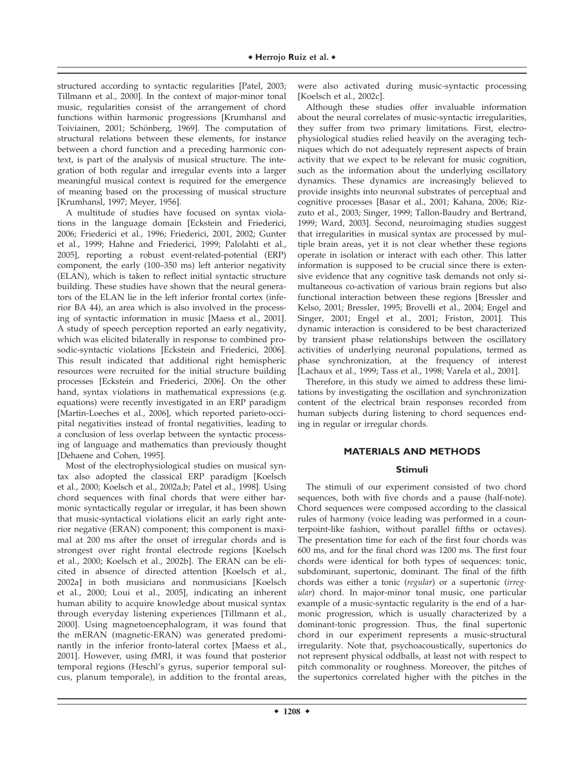structured according to syntactic regularities [Patel, 2003; Tillmann et al., 2000]. In the context of major-minor tonal music, regularities consist of the arrangement of chord functions within harmonic progressions [Krumhansl and Toiviainen, 2001; Schönberg, 1969]. The computation of structural relations between these elements, for instance between a chord function and a preceding harmonic context, is part of the analysis of musical structure. The integration of both regular and irregular events into a larger meaningful musical context is required for the emergence of meaning based on the processing of musical structure [Krumhansl, 1997; Meyer, 1956].

A multitude of studies have focused on syntax violations in the language domain [Eckstein and Friederici, 2006; Friederici et al., 1996; Friederici, 2001, 2002; Gunter et al., 1999; Hahne and Friederici, 1999; Palolahti et al., 2005], reporting a robust event-related-potential (ERP) component, the early (100–350 ms) left anterior negativity (ELAN), which is taken to reflect initial syntactic structure building. These studies have shown that the neural generators of the ELAN lie in the left inferior frontal cortex (inferior BA 44), an area which is also involved in the processing of syntactic information in music [Maess et al., 2001]. A study of speech perception reported an early negativity, which was elicited bilaterally in response to combined prosodic-syntactic violations [Eckstein and Friederici, 2006]. This result indicated that additional right hemispheric resources were recruited for the initial structure building processes [Eckstein and Friederici, 2006]. On the other hand, syntax violations in mathematical expressions (e.g. equations) were recently investigated in an ERP paradigm [Martin-Loeches et al., 2006], which reported parieto-occipital negativities instead of frontal negativities, leading to a conclusion of less overlap between the syntactic processing of language and mathematics than previously thought [Dehaene and Cohen, 1995].

Most of the electrophysiological studies on musical syntax also adopted the classical ERP paradigm [Koelsch et al., 2000; Koelsch et al., 2002a,b; Patel et al., 1998]. Using chord sequences with final chords that were either harmonic syntactically regular or irregular, it has been shown that music-syntactical violations elicit an early right anterior negative (ERAN) component; this component is maximal at 200 ms after the onset of irregular chords and is strongest over right frontal electrode regions [Koelsch et al., 2000; Koelsch et al., 2002b]. The ERAN can be elicited in absence of directed attention [Koelsch et al., 2002a] in both musicians and nonmusicians [Koelsch et al., 2000; Loui et al., 2005], indicating an inherent human ability to acquire knowledge about musical syntax through everyday listening experiences [Tillmann et al., 2000]. Using magnetoencephalogram, it was found that the mERAN (magnetic-ERAN) was generated predominantly in the inferior fronto-lateral cortex [Maess et al., 2001]. However, using fMRI, it was found that posterior temporal regions (Heschl's gyrus, superior temporal sulcus, planum temporale), in addition to the frontal areas,

were also activated during music-syntactic processing [Koelsch et al., 2002c].

Although these studies offer invaluable information about the neural correlates of music-syntactic irregularities, they suffer from two primary limitations. First, electrophysiological studies relied heavily on the averaging techniques which do not adequately represent aspects of brain activity that we expect to be relevant for music cognition, such as the information about the underlying oscillatory dynamics. These dynamics are increasingly believed to provide insights into neuronal substrates of perceptual and cognitive processes [Basar et al., 2001; Kahana, 2006; Rizzuto et al., 2003; Singer, 1999; Tallon-Baudry and Bertrand, 1999; Ward, 2003]. Second, neuroimaging studies suggest that irregularities in musical syntax are processed by multiple brain areas, yet it is not clear whether these regions operate in isolation or interact with each other. This latter information is supposed to be crucial since there is extensive evidence that any cognitive task demands not only simultaneous co-activation of various brain regions but also functional interaction between these regions [Bressler and Kelso, 2001; Bressler, 1995; Brovelli et al., 2004; Engel and Singer, 2001; Engel et al., 2001; Friston, 2001]. This dynamic interaction is considered to be best characterized by transient phase relationships between the oscillatory activities of underlying neuronal populations, termed as phase synchronization, at the frequency of interest [Lachaux et al., 1999; Tass et al., 1998; Varela et al., 2001].

Therefore, in this study we aimed to address these limitations by investigating the oscillation and synchronization content of the electrical brain responses recorded from human subjects during listening to chord sequences ending in regular or irregular chords.

# **MATERIALS AND METHODS**

#### **Stimuli**

The stimuli of our experiment consisted of two chord sequences, both with five chords and a pause (half-note). Chord sequences were composed according to the classical rules of harmony (voice leading was performed in a counterpoint-like fashion, without parallel fifths or octaves). The presentation time for each of the first four chords was 600 ms, and for the final chord was 1200 ms. The first four chords were identical for both types of sequences: tonic, subdominant, supertonic, dominant. The final of the fifth chords was either a tonic (regular) or a supertonic (irregular) chord. In major-minor tonal music, one particular example of a music-syntactic regularity is the end of a harmonic progression, which is usually characterized by a dominant-tonic progression. Thus, the final supertonic chord in our experiment represents a music-structural irregularity. Note that, psychoacoustically, supertonics do not represent physical oddballs, at least not with respect to pitch commonality or roughness. Moreover, the pitches of the supertonics correlated higher with the pitches in the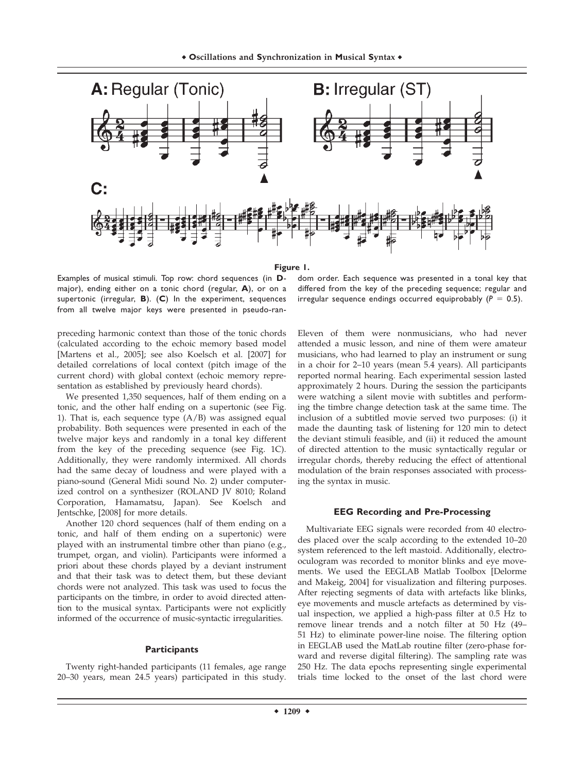

**Figure 1.**

Examples of musical stimuli. Top row: chord sequences (in **D**major), ending either on a tonic chord (regular, **A**), or on a supertonic (irregular, **B**). (**C**) In the experiment, sequences from all twelve major keys were presented in pseudo-ran-

dom order. Each sequence was presented in a tonal key that differed from the key of the preceding sequence; regular and irregular sequence endings occurred equiprobably  $(P = 0.5)$ .

preceding harmonic context than those of the tonic chords (calculated according to the echoic memory based model [Martens et al., 2005]; see also Koelsch et al. [2007] for detailed correlations of local context (pitch image of the current chord) with global context (echoic memory representation as established by previously heard chords).

We presented 1,350 sequences, half of them ending on a tonic, and the other half ending on a supertonic (see Fig. 1). That is, each sequence type  $(A/B)$  was assigned equal probability. Both sequences were presented in each of the twelve major keys and randomly in a tonal key different from the key of the preceding sequence (see Fig. 1C). Additionally, they were randomly intermixed. All chords had the same decay of loudness and were played with a piano-sound (General Midi sound No. 2) under computerized control on a synthesizer (ROLAND JV 8010; Roland Corporation, Hamamatsu, Japan). See Koelsch and Jentschke, [2008] for more details.

Another 120 chord sequences (half of them ending on a tonic, and half of them ending on a supertonic) were played with an instrumental timbre other than piano (e.g., trumpet, organ, and violin). Participants were informed a priori about these chords played by a deviant instrument and that their task was to detect them, but these deviant chords were not analyzed. This task was used to focus the participants on the timbre, in order to avoid directed attention to the musical syntax. Participants were not explicitly informed of the occurrence of music-syntactic irregularities.

# **Participants**

Twenty right-handed participants (11 females, age range 20–30 years, mean 24.5 years) participated in this study.

Eleven of them were nonmusicians, who had never attended a music lesson, and nine of them were amateur musicians, who had learned to play an instrument or sung in a choir for 2–10 years (mean 5.4 years). All participants reported normal hearing. Each experimental session lasted approximately 2 hours. During the session the participants were watching a silent movie with subtitles and performing the timbre change detection task at the same time. The inclusion of a subtitled movie served two purposes: (i) it made the daunting task of listening for 120 min to detect the deviant stimuli feasible, and (ii) it reduced the amount of directed attention to the music syntactically regular or irregular chords, thereby reducing the effect of attentional modulation of the brain responses associated with processing the syntax in music.

#### **EEG Recording and Pre-Processing**

Multivariate EEG signals were recorded from 40 electrodes placed over the scalp according to the extended 10–20 system referenced to the left mastoid. Additionally, electrooculogram was recorded to monitor blinks and eye movements. We used the EEGLAB Matlab Toolbox [Delorme and Makeig, 2004] for visualization and filtering purposes. After rejecting segments of data with artefacts like blinks, eye movements and muscle artefacts as determined by visual inspection, we applied a high-pass filter at 0.5 Hz to remove linear trends and a notch filter at 50 Hz (49– 51 Hz) to eliminate power-line noise. The filtering option in EEGLAB used the MatLab routine filter (zero-phase forward and reverse digital filtering). The sampling rate was 250 Hz. The data epochs representing single experimental trials time locked to the onset of the last chord were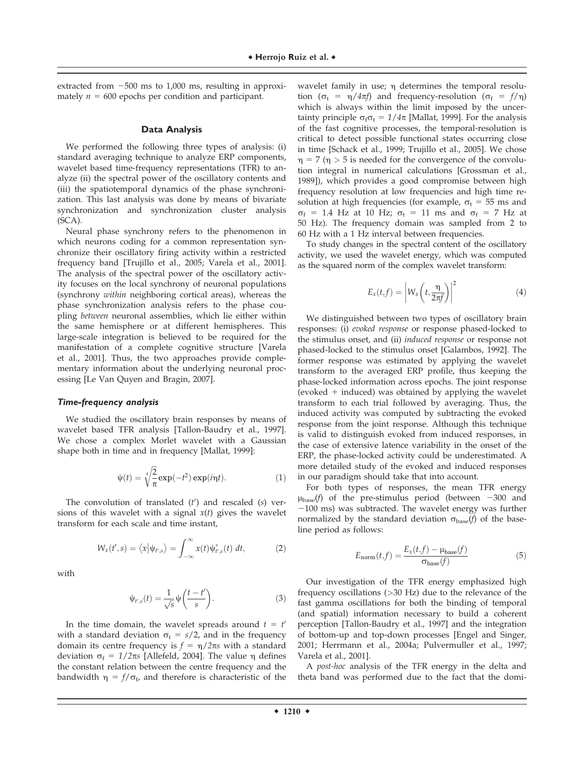extracted from  $-500$  ms to 1,000 ms, resulting in approximately  $n = 600$  epochs per condition and participant.

#### **Data Analysis**

We performed the following three types of analysis: (i) standard averaging technique to analyze ERP components, wavelet based time-frequency representations (TFR) to analyze (ii) the spectral power of the oscillatory contents and (iii) the spatiotemporal dynamics of the phase synchronization. This last analysis was done by means of bivariate synchronization and synchronization cluster analysis (SCA).

Neural phase synchrony refers to the phenomenon in which neurons coding for a common representation synchronize their oscillatory firing activity within a restricted frequency band [Trujillo et al., 2005; Varela et al., 2001]. The analysis of the spectral power of the oscillatory activity focuses on the local synchrony of neuronal populations (synchrony within neighboring cortical areas), whereas the phase synchronization analysis refers to the phase coupling between neuronal assemblies, which lie either within the same hemisphere or at different hemispheres. This large-scale integration is believed to be required for the manifestation of a complete cognitive structure [Varela et al., 2001]. Thus, the two approaches provide complementary information about the underlying neuronal processing [Le Van Quyen and Bragin, 2007].

#### Time-frequency analysis

We studied the oscillatory brain responses by means of wavelet based TFR analysis [Tallon-Baudry et al., 1997]. We chose a complex Morlet wavelet with a Gaussian shape both in time and in frequency [Mallat, 1999]:

$$
\psi(t) = \sqrt[4]{\frac{2}{\pi}} \exp(-t^2) \exp(i\eta t).
$$
 (1)

The convolution of translated  $(t')$  and rescaled  $(s)$  versions of this wavelet with a signal  $x(t)$  gives the wavelet transform for each scale and time instant,

$$
W_x(t',s) = \langle x | \psi_{t',s} \rangle = \int_{-\infty}^{\infty} x(t) \psi_{t',s}^*(t) \, dt,\tag{2}
$$

with

$$
\psi_{t',s}(t) = \frac{1}{\sqrt{s}} \psi\left(\frac{t - t'}{s}\right). \tag{3}
$$

In the time domain, the wavelet spreads around  $t = t'$ <br>(the a standard domation  $\sigma = s/2$  and in the frequency with a standard deviation  $\sigma_t = s/2$ , and in the frequency domain its centre frequency is  $f = \eta/2\pi s$  with a standard deviation  $\sigma_f = 1/2\pi s$  [Allefeld, 2004]. The value  $\eta$  defines the constant relation between the centre frequency and the bandwidth  $\eta = f/\sigma_f$ , and therefore is characteristic of the wavelet family in use;  $\eta$  determines the temporal resolution ( $\sigma_t = \eta/4\pi f$ ) and frequency-resolution ( $\sigma_f = f/\eta$ ) which is always within the limit imposed by the uncertainty principle  $\sigma_f \sigma_t = 1/4\pi$  [Mallat, 1999]. For the analysis of the fast cognitive processes, the temporal-resolution is critical to detect possible functional states occurring close in time [Schack et al., 1999; Trujillo et al., 2005]. We chose  $\eta$  = 7 ( $\eta$  > 5 is needed for the convergence of the convolution integral in numerical calculations [Grossman et al., 1989]), which provides a good compromise between high frequency resolution at low frequencies and high time resolution at high frequencies (for example,  $\sigma_t = 55$  ms and  $\sigma_f$  = 1.4 Hz at 10 Hz;  $\sigma_t$  = 11 ms and  $\sigma_f$  = 7 Hz at 50 Hz). The frequency domain was sampled from 2 to 60 Hz with a 1 Hz interval between frequencies.

To study changes in the spectral content of the oscillatory activity, we used the wavelet energy, which was computed as the squared norm of the complex wavelet transform:

$$
E_x(t,f) = \left| W_x\left(t, \frac{\eta}{2\pi f}\right) \right|^2 \tag{4}
$$

We distinguished between two types of oscillatory brain responses: (i) evoked response or response phased-locked to the stimulus onset, and (ii) induced response or response not phased-locked to the stimulus onset [Galambos, 1992]. The former response was estimated by applying the wavelet transform to the averaged ERP profile, thus keeping the phase-locked information across epochs. The joint response (evoked  $+$  induced) was obtained by applying the wavelet transform to each trial followed by averaging. Thus, the induced activity was computed by subtracting the evoked response from the joint response. Although this technique is valid to distinguish evoked from induced responses, in the case of extensive latence variability in the onset of the ERP, the phase-locked activity could be underestimated. A more detailed study of the evoked and induced responses in our paradigm should take that into account.

For both types of responses, the mean TFR energy  $\mu_{\text{base}}(f)$  of the pre-stimulus period (between -300 and  $-100$  ms) was subtracted. The wavelet energy was further normalized by the standard deviation  $\sigma_{base}(f)$  of the baseline period as follows:

$$
E_{\text{norm}}(t,f) = \frac{E_x(t,f) - \mu_{\text{base}}(f)}{\sigma_{\text{base}}(f)}
$$
(5)

Our investigation of the TFR energy emphasized high frequency oscillations (>30 Hz) due to the relevance of the fast gamma oscillations for both the binding of temporal (and spatial) information necessary to build a coherent perception [Tallon-Baudry et al., 1997] and the integration of bottom-up and top-down processes [Engel and Singer, 2001; Herrmann et al., 2004a; Pulvermuller et al., 1997; Varela et al., 2001].

A post-hoc analysis of the TFR energy in the delta and theta band was performed due to the fact that the domi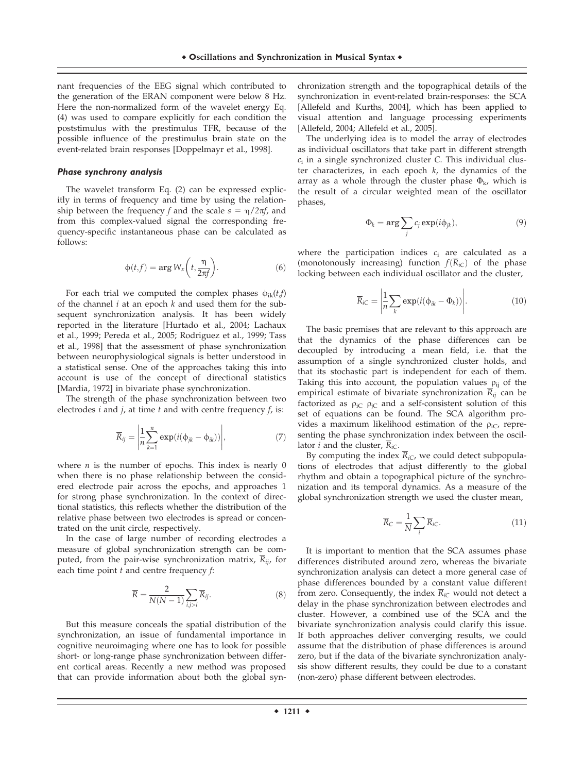nant frequencies of the EEG signal which contributed to the generation of the ERAN component were below 8 Hz. Here the non-normalized form of the wavelet energy Eq. (4) was used to compare explicitly for each condition the poststimulus with the prestimulus TFR, because of the possible influence of the prestimulus brain state on the event-related brain responses [Doppelmayr et al., 1998].

# Phase synchrony analysis

The wavelet transform Eq. (2) can be expressed explicitly in terms of frequency and time by using the relationship between the frequency f and the scale  $s = \eta/2\pi f$ , and from this complex-valued signal the corresponding frequency-specific instantaneous phase can be calculated as follows:

$$
\phi(t,f) = \arg W_x \left( t, \frac{\eta}{2\pi f} \right). \tag{6}
$$

For each trial we computed the complex phases  $\phi_{ik}(t,f)$ of the channel  $i$  at an epoch  $k$  and used them for the subsequent synchronization analysis. It has been widely reported in the literature [Hurtado et al., 2004; Lachaux et al., 1999; Pereda et al., 2005; Rodriguez et al., 1999; Tass et al., 1998] that the assessment of phase synchronization between neurophysiological signals is better understood in a statistical sense. One of the approaches taking this into account is use of the concept of directional statistics [Mardia, 1972] in bivariate phase synchronization.

The strength of the phase synchronization between two electrodes  $i$  and  $j$ , at time  $t$  and with centre frequency  $f$ , is:

$$
\overline{R}_{ij} = \left| \frac{1}{n} \sum_{k=1}^{n} \exp(i(\phi_{jk} - \phi_{ik})) \right|, \tag{7}
$$

where  $n$  is the number of epochs. This index is nearly 0 when there is no phase relationship between the considered electrode pair across the epochs, and approaches 1 for strong phase synchronization. In the context of directional statistics, this reflects whether the distribution of the relative phase between two electrodes is spread or concentrated on the unit circle, respectively.

In the case of large number of recording electrodes a measure of global synchronization strength can be computed, from the pair-wise synchronization matrix,  $\overline{R}_{ij}$ , for each time point  $t$  and centre frequency  $f$ :

$$
\overline{R} = \frac{2}{N(N-1)} \sum_{i,j>i} \overline{R}_{ij}.
$$
 (8)

But this measure conceals the spatial distribution of the synchronization, an issue of fundamental importance in cognitive neuroimaging where one has to look for possible short- or long-range phase synchronization between different cortical areas. Recently a new method was proposed that can provide information about both the global synchronization strength and the topographical details of the synchronization in event-related brain-responses: the SCA [Allefeld and Kurths, 2004], which has been applied to visual attention and language processing experiments [Allefeld, 2004; Allefeld et al., 2005].

The underlying idea is to model the array of electrodes as individual oscillators that take part in different strength  $c_i$  in a single synchronized cluster C. This individual cluster characterizes, in each epoch  $k$ , the dynamics of the array as a whole through the cluster phase  $\Phi_{k}$ , which is the result of a circular weighted mean of the oscillator phases,

$$
\Phi_k = \arg \sum_j c_j \exp(i\phi_{jk}),\tag{9}
$$

where the participation indices  $c_i$  are calculated as a (monotonously increasing) function  $f(\overline{R}_{iC})$  of the phase locking between each individual oscillator and the cluster,

$$
\overline{R}_{iC} = \left| \frac{1}{n} \sum_{k} \exp(i(\phi_{ik} - \Phi_{k})) \right|.
$$
 (10)

The basic premises that are relevant to this approach are that the dynamics of the phase differences can be decoupled by introducing a mean field, i.e. that the assumption of a single synchronized cluster holds, and that its stochastic part is independent for each of them. Taking this into account, the population values  $\rho_{ij}$  of the empirical estimate of bivariate synchronization  $\overline{R}_{ij}$  can be factorized as  $\rho_{iC}$   $\rho_{iC}$  and a self-consistent solution of this set of equations can be found. The SCA algorithm provides a maximum likelihood estimation of the  $\rho_{iC}$ , representing the phase synchronization index between the oscillator *i* and the cluster,  $\overline{R}_{iC}$ .

By computing the index  $\overline{R}_{iC}$ , we could detect subpopulations of electrodes that adjust differently to the global rhythm and obtain a topographical picture of the synchronization and its temporal dynamics. As a measure of the global synchronization strength we used the cluster mean,

$$
\overline{R}_C = \frac{1}{N} \sum_i \overline{R}_{iC}.
$$
\n(11)

It is important to mention that the SCA assumes phase differences distributed around zero, whereas the bivariate synchronization analysis can detect a more general case of phase differences bounded by a constant value different from zero. Consequently, the index  $\overline{R}_{iC}$  would not detect a delay in the phase synchronization between electrodes and cluster. However, a combined use of the SCA and the bivariate synchronization analysis could clarify this issue. If both approaches deliver converging results, we could assume that the distribution of phase differences is around zero, but if the data of the bivariate synchronization analysis show different results, they could be due to a constant (non-zero) phase different between electrodes.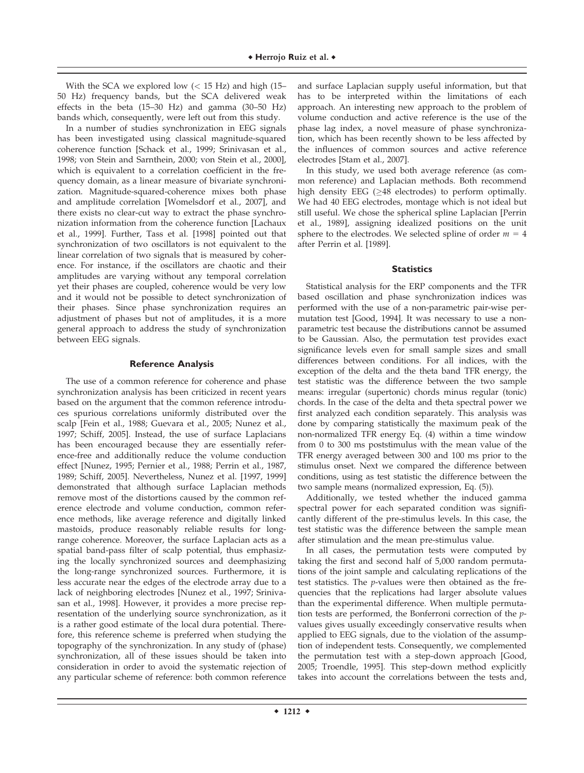With the SCA we explored low (< 15 Hz) and high (15– 50 Hz) frequency bands, but the SCA delivered weak effects in the beta (15–30 Hz) and gamma (30–50 Hz) bands which, consequently, were left out from this study.

In a number of studies synchronization in EEG signals has been investigated using classical magnitude-squared coherence function [Schack et al., 1999; Srinivasan et al., 1998; von Stein and Sarnthein, 2000; von Stein et al., 2000], which is equivalent to a correlation coefficient in the frequency domain, as a linear measure of bivariate synchronization. Magnitude-squared-coherence mixes both phase and amplitude correlation [Womelsdorf et al., 2007], and there exists no clear-cut way to extract the phase synchronization information from the coherence function [Lachaux et al., 1999]. Further, Tass et al. [1998] pointed out that synchronization of two oscillators is not equivalent to the linear correlation of two signals that is measured by coherence. For instance, if the oscillators are chaotic and their amplitudes are varying without any temporal correlation yet their phases are coupled, coherence would be very low and it would not be possible to detect synchronization of their phases. Since phase synchronization requires an adjustment of phases but not of amplitudes, it is a more general approach to address the study of synchronization between EEG signals.

#### **Reference Analysis**

The use of a common reference for coherence and phase synchronization analysis has been criticized in recent years based on the argument that the common reference introduces spurious correlations uniformly distributed over the scalp [Fein et al., 1988; Guevara et al., 2005; Nunez et al., 1997; Schiff, 2005]. Instead, the use of surface Laplacians has been encouraged because they are essentially reference-free and additionally reduce the volume conduction effect [Nunez, 1995; Pernier et al., 1988; Perrin et al., 1987, 1989; Schiff, 2005]. Nevertheless, Nunez et al. [1997, 1999] demonstrated that although surface Laplacian methods remove most of the distortions caused by the common reference electrode and volume conduction, common reference methods, like average reference and digitally linked mastoids, produce reasonably reliable results for longrange coherence. Moreover, the surface Laplacian acts as a spatial band-pass filter of scalp potential, thus emphasizing the locally synchronized sources and deemphasizing the long-range synchronized sources. Furthermore, it is less accurate near the edges of the electrode array due to a lack of neighboring electrodes [Nunez et al., 1997; Srinivasan et al., 1998]. However, it provides a more precise representation of the underlying source synchronization, as it is a rather good estimate of the local dura potential. Therefore, this reference scheme is preferred when studying the topography of the synchronization. In any study of (phase) synchronization, all of these issues should be taken into consideration in order to avoid the systematic rejection of any particular scheme of reference: both common reference

and surface Laplacian supply useful information, but that has to be interpreted within the limitations of each approach. An interesting new approach to the problem of volume conduction and active reference is the use of the phase lag index, a novel measure of phase synchronization, which has been recently shown to be less affected by the influences of common sources and active reference electrodes [Stam et al., 2007].

In this study, we used both average reference (as common reference) and Laplacian methods. Both recommend high density EEG ( $\geq$ 48 electrodes) to perform optimally. We had 40 EEG electrodes, montage which is not ideal but still useful. We chose the spherical spline Laplacian [Perrin et al., 1989], assigning idealized positions on the unit sphere to the electrodes. We selected spline of order  $m = 4$ after Perrin et al. [1989].

# **Statistics**

Statistical analysis for the ERP components and the TFR based oscillation and phase synchronization indices was performed with the use of a non-parametric pair-wise permutation test [Good, 1994]. It was necessary to use a nonparametric test because the distributions cannot be assumed to be Gaussian. Also, the permutation test provides exact significance levels even for small sample sizes and small differences between conditions. For all indices, with the exception of the delta and the theta band TFR energy, the test statistic was the difference between the two sample means: irregular (supertonic) chords minus regular (tonic) chords. In the case of the delta and theta spectral power we first analyzed each condition separately. This analysis was done by comparing statistically the maximum peak of the non-normalized TFR energy Eq. (4) within a time window from 0 to 300 ms poststimulus with the mean value of the TFR energy averaged between 300 and 100 ms prior to the stimulus onset. Next we compared the difference between conditions, using as test statistic the difference between the two sample means (normalized expression, Eq. (5)).

Additionally, we tested whether the induced gamma spectral power for each separated condition was significantly different of the pre-stimulus levels. In this case, the test statistic was the difference between the sample mean after stimulation and the mean pre-stimulus value.

In all cases, the permutation tests were computed by taking the first and second half of 5,000 random permutations of the joint sample and calculating replications of the test statistics. The p-values were then obtained as the frequencies that the replications had larger absolute values than the experimental difference. When multiple permutation tests are performed, the Bonferroni correction of the pvalues gives usually exceedingly conservative results when applied to EEG signals, due to the violation of the assumption of independent tests. Consequently, we complemented the permutation test with a step-down approach [Good, 2005; Troendle, 1995]. This step-down method explicitly takes into account the correlations between the tests and,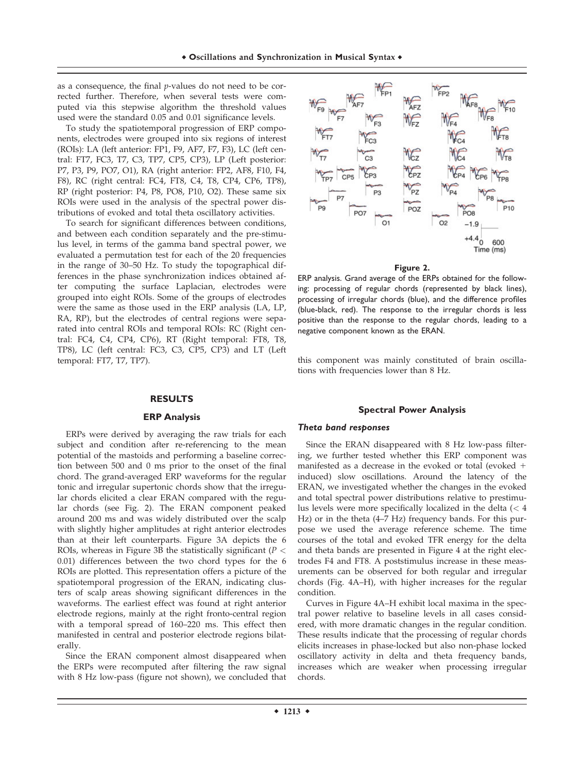as a consequence, the final  $p$ -values do not need to be corrected further. Therefore, when several tests were computed via this stepwise algorithm the threshold values used were the standard 0.05 and 0.01 significance levels.

To study the spatiotemporal progression of ERP components, electrodes were grouped into six regions of interest (ROIs): LA (left anterior: FP1, F9, AF7, F7, F3), LC (left central: FT7, FC3, T7, C3, TP7, CP5, CP3), LP (Left posterior: P7, P3, P9, PO7, O1), RA (right anterior: FP2, AF8, F10, F4, F8), RC (right central: FC4, FT8, C4, T8, CP4, CP6, TP8), RP (right posterior: P4, P8, PO8, P10, O2). These same six ROIs were used in the analysis of the spectral power distributions of evoked and total theta oscillatory activities.

To search for significant differences between conditions, and between each condition separately and the pre-stimulus level, in terms of the gamma band spectral power, we evaluated a permutation test for each of the 20 frequencies in the range of 30–50 Hz. To study the topographical differences in the phase synchronization indices obtained after computing the surface Laplacian, electrodes were grouped into eight ROIs. Some of the groups of electrodes were the same as those used in the ERP analysis (LA, LP, RA, RP), but the electrodes of central regions were separated into central ROIs and temporal ROIs: RC (Right central: FC4, C4, CP4, CP6), RT (Right temporal: FT8, T8, TP8), LC (left central: FC3, C3, CP5, CP3) and LT (Left temporal: FT7, T7, TP7).

#### **RESULTS**

#### **ERP Analysis**

ERPs were derived by averaging the raw trials for each subject and condition after re-referencing to the mean potential of the mastoids and performing a baseline correction between 500 and 0 ms prior to the onset of the final chord. The grand-averaged ERP waveforms for the regular tonic and irregular supertonic chords show that the irregular chords elicited a clear ERAN compared with the regular chords (see Fig. 2). The ERAN component peaked around 200 ms and was widely distributed over the scalp with slightly higher amplitudes at right anterior electrodes than at their left counterparts. Figure 3A depicts the 6 ROIs, whereas in Figure 3B the statistically significant ( $P <$ 0.01) differences between the two chord types for the 6 ROIs are plotted. This representation offers a picture of the spatiotemporal progression of the ERAN, indicating clusters of scalp areas showing significant differences in the waveforms. The earliest effect was found at right anterior electrode regions, mainly at the right fronto-central region with a temporal spread of 160–220 ms. This effect then manifested in central and posterior electrode regions bilaterally.

Since the ERAN component almost disappeared when the ERPs were recomputed after filtering the raw signal with 8 Hz low-pass (figure not shown), we concluded that



#### **Figure 2.**

ERP analysis. Grand average of the ERPs obtained for the following: processing of regular chords (represented by black lines), processing of irregular chords (blue), and the difference profiles (blue-black, red). The response to the irregular chords is less positive than the response to the regular chords, leading to a negative component known as the ERAN.

this component was mainly constituted of brain oscillations with frequencies lower than 8 Hz.

#### **Spectral Power Analysis**

#### Theta band responses

Since the ERAN disappeared with 8 Hz low-pass filtering, we further tested whether this ERP component was manifested as a decrease in the evoked or total (evoked  $+$ induced) slow oscillations. Around the latency of the ERAN, we investigated whether the changes in the evoked and total spectral power distributions relative to prestimulus levels were more specifically localized in the delta (< 4 Hz) or in the theta (4–7 Hz) frequency bands. For this purpose we used the average reference scheme. The time courses of the total and evoked TFR energy for the delta and theta bands are presented in Figure 4 at the right electrodes F4 and FT8. A poststimulus increase in these measurements can be observed for both regular and irregular chords (Fig. 4A–H), with higher increases for the regular condition.

Curves in Figure 4A–H exhibit local maxima in the spectral power relative to baseline levels in all cases considered, with more dramatic changes in the regular condition. These results indicate that the processing of regular chords elicits increases in phase-locked but also non-phase locked oscillatory activity in delta and theta frequency bands, increases which are weaker when processing irregular chords.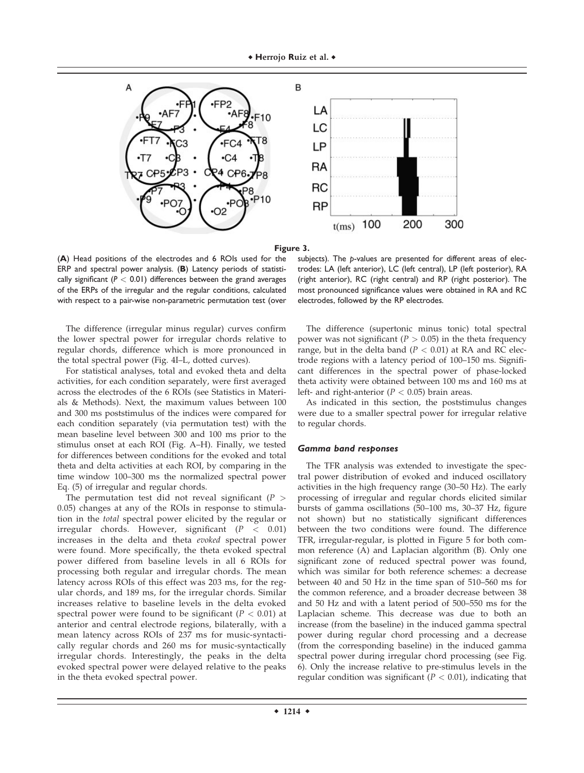



**Figure 3.** (**A**) Head positions of the electrodes and 6 ROIs used for the

ERP and spectral power analysis. (**B**) Latency periods of statistically significant  $(P < 0.01)$  differences between the grand averages of the ERPs of the irregular and the regular conditions, calculated with respect to a pair-wise non-parametric permutation test (over

The difference (irregular minus regular) curves confirm the lower spectral power for irregular chords relative to regular chords, difference which is more pronounced in the total spectral power (Fig. 4I–L, dotted curves).

For statistical analyses, total and evoked theta and delta activities, for each condition separately, were first averaged across the electrodes of the 6 ROIs (see Statistics in Materials & Methods). Next, the maximum values between 100 and 300 ms poststimulus of the indices were compared for each condition separately (via permutation test) with the mean baseline level between 300 and 100 ms prior to the stimulus onset at each ROI (Fig. A–H). Finally, we tested for differences between conditions for the evoked and total theta and delta activities at each ROI, by comparing in the time window 100–300 ms the normalized spectral power Eq. (5) of irregular and regular chords.

The permutation test did not reveal significant ( $P >$ 0.05) changes at any of the ROIs in response to stimulation in the total spectral power elicited by the regular or irregular chords. However, significant  $(P < 0.01)$ increases in the delta and theta evoked spectral power were found. More specifically, the theta evoked spectral power differed from baseline levels in all 6 ROIs for processing both regular and irregular chords. The mean latency across ROIs of this effect was 203 ms, for the regular chords, and 189 ms, for the irregular chords. Similar increases relative to baseline levels in the delta evoked spectral power were found to be significant ( $P < 0.01$ ) at anterior and central electrode regions, bilaterally, with a mean latency across ROIs of 237 ms for music-syntactically regular chords and 260 ms for music-syntactically irregular chords. Interestingly, the peaks in the delta evoked spectral power were delayed relative to the peaks in the theta evoked spectral power.

subjects). The *p*-values are presented for different areas of electrodes: LA (left anterior), LC (left central), LP (left posterior), RA (right anterior), RC (right central) and RP (right posterior). The most pronounced significance values were obtained in RA and RC electrodes, followed by the RP electrodes.

The difference (supertonic minus tonic) total spectral power was not significant ( $P > 0.05$ ) in the theta frequency range, but in the delta band ( $P < 0.01$ ) at RA and RC electrode regions with a latency period of 100–150 ms. Significant differences in the spectral power of phase-locked theta activity were obtained between 100 ms and 160 ms at left- and right-anterior ( $P < 0.05$ ) brain areas.

As indicated in this section, the poststimulus changes were due to a smaller spectral power for irregular relative to regular chords.

# Gamma band responses

The TFR analysis was extended to investigate the spectral power distribution of evoked and induced oscillatory activities in the high frequency range (30–50 Hz). The early processing of irregular and regular chords elicited similar bursts of gamma oscillations (50–100 ms, 30–37 Hz, figure not shown) but no statistically significant differences between the two conditions were found. The difference TFR, irregular-regular, is plotted in Figure 5 for both common reference (A) and Laplacian algorithm (B). Only one significant zone of reduced spectral power was found, which was similar for both reference schemes: a decrease between 40 and 50 Hz in the time span of 510–560 ms for the common reference, and a broader decrease between 38 and 50 Hz and with a latent period of 500–550 ms for the Laplacian scheme. This decrease was due to both an increase (from the baseline) in the induced gamma spectral power during regular chord processing and a decrease (from the corresponding baseline) in the induced gamma spectral power during irregular chord processing (see Fig. 6). Only the increase relative to pre-stimulus levels in the regular condition was significant ( $P < 0.01$ ), indicating that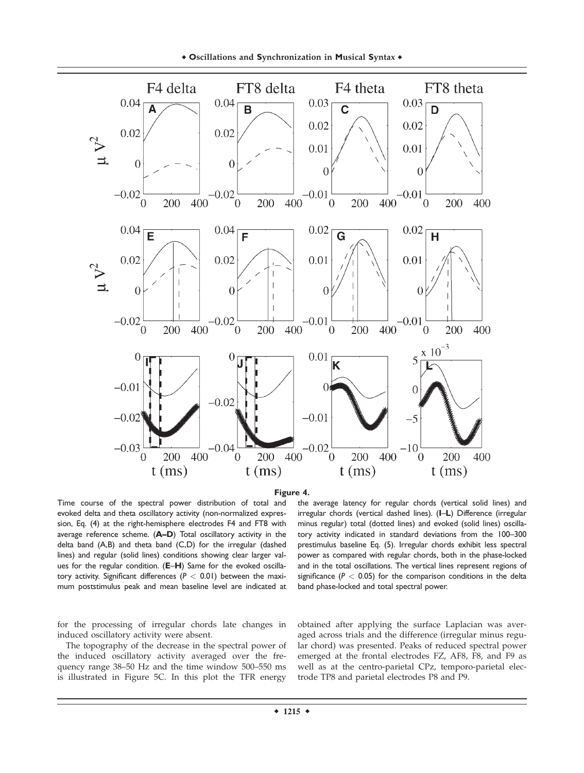

**Figure 4.**

Time course of the spectral power distribution of total and evoked delta and theta oscillatory activity (non-normalized expression, Eq. (4) at the right-hemisphere electrodes F4 and FT8 with average reference scheme. (**A–D**) Total oscillatory activity in the delta band (A,B) and theta band (C,D) for the irregular (dashed lines) and regular (solid lines) conditions showing clear larger values for the regular condition. (**E**–**H**) Same for the evoked oscillatory activity. Significant differences (*P* < 0.01) between the maximum poststimulus peak and mean baseline level are indicated at

the average latency for regular chords (vertical solid lines) and irregular chords (vertical dashed lines). (**I**–**L**) Difference (irregular minus regular) total (dotted lines) and evoked (solid lines) oscillatory activity indicated in standard deviations from the 100–300 prestimulus baseline Eq. (5). Irregular chords exhibit less spectral power as compared with regular chords, both in the phase-locked and in the total oscillations. The vertical lines represent regions of significance  $(P < 0.05)$  for the comparison conditions in the delta band phase-locked and total spectral power.

for the processing of irregular chords late changes in induced oscillatory activity were absent.

The topography of the decrease in the spectral power of the induced oscillatory activity averaged over the frequency range 38–50 Hz and the time window 500–550 ms is illustrated in Figure 5C. In this plot the TFR energy

obtained after applying the surface Laplacian was averaged across trials and the difference (irregular minus regular chord) was presented. Peaks of reduced spectral power emerged at the frontal electrodes FZ, AF8, F8, and F9 as well as at the centro-parietal CPz, temporo-parietal electrode TP8 and parietal electrodes P8 and P9.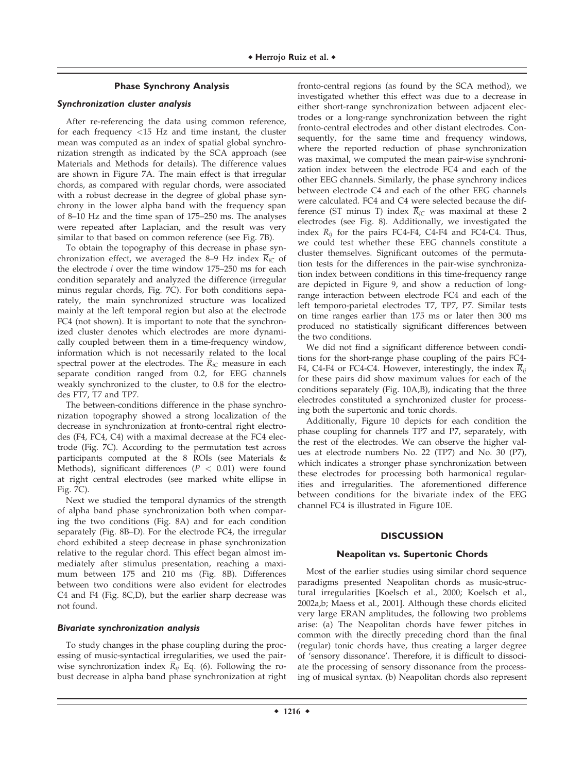#### **Phase Synchrony Analysis**

#### Synchronization cluster analysis

After re-referencing the data using common reference, for each frequency <15 Hz and time instant, the cluster mean was computed as an index of spatial global synchronization strength as indicated by the SCA approach (see Materials and Methods for details). The difference values are shown in Figure 7A. The main effect is that irregular chords, as compared with regular chords, were associated with a robust decrease in the degree of global phase synchrony in the lower alpha band with the frequency span of 8–10 Hz and the time span of 175–250 ms. The analyses were repeated after Laplacian, and the result was very similar to that based on common reference (see Fig. 7B).

To obtain the topography of this decrease in phase synchronization effect, we averaged the 8–9 Hz index  $\overline{R}_{iC}$  of the electrode i over the time window 175–250 ms for each condition separately and analyzed the difference (irregular minus regular chords, Fig. 7C). For both conditions separately, the main synchronized structure was localized mainly at the left temporal region but also at the electrode FC4 (not shown). It is important to note that the synchronized cluster denotes which electrodes are more dynamically coupled between them in a time-frequency window, information which is not necessarily related to the local spectral power at the electrodes. The  $R_{iC}$  measure in each separate condition ranged from 0.2, for EEG channels weakly synchronized to the cluster, to 0.8 for the electrodes FT7, T7 and TP7.

The between-conditions difference in the phase synchronization topography showed a strong localization of the decrease in synchronization at fronto-central right electrodes (F4, FC4, C4) with a maximal decrease at the FC4 electrode (Fig. 7C). According to the permutation test across participants computed at the 8 ROIs (see Materials & Methods), significant differences ( $P < 0.01$ ) were found at right central electrodes (see marked white ellipse in Fig. 7C).

Next we studied the temporal dynamics of the strength of alpha band phase synchronization both when comparing the two conditions (Fig. 8A) and for each condition separately (Fig. 8B–D). For the electrode FC4, the irregular chord exhibited a steep decrease in phase synchronization relative to the regular chord. This effect began almost immediately after stimulus presentation, reaching a maximum between 175 and 210 ms (Fig. 8B). Differences between two conditions were also evident for electrodes C4 and F4 (Fig. 8C,D), but the earlier sharp decrease was not found.

#### Bivariate synchronization analysis

To study changes in the phase coupling during the processing of music-syntactical irregularities, we used the pairwise synchronization index  $R_{ij}$  Eq. (6). Following the robust decrease in alpha band phase synchronization at right fronto-central regions (as found by the SCA method), we investigated whether this effect was due to a decrease in either short-range synchronization between adjacent electrodes or a long-range synchronization between the right fronto-central electrodes and other distant electrodes. Consequently, for the same time and frequency windows, where the reported reduction of phase synchronization was maximal, we computed the mean pair-wise synchronization index between the electrode FC4 and each of the other EEG channels. Similarly, the phase synchrony indices between electrode C4 and each of the other EEG channels were calculated. FC4 and C4 were selected because the difference (ST minus T) index  $\overline{R}_{iC}$  was maximal at these 2 electrodes (see Fig. 8). Additionally, we investigated the index  $\overline{R}_{ij}$  for the pairs FC4-F4, C4-F4 and FC4-C4. Thus, we could test whether these EEG channels constitute a cluster themselves. Significant outcomes of the permutation tests for the differences in the pair-wise synchronization index between conditions in this time-frequency range are depicted in Figure 9, and show a reduction of longrange interaction between electrode FC4 and each of the left temporo-parietal electrodes T7, TP7, P7. Similar tests on time ranges earlier than 175 ms or later then 300 ms produced no statistically significant differences between the two conditions.

We did not find a significant difference between conditions for the short-range phase coupling of the pairs FC4- F4, C4-F4 or FC4-C4. However, interestingly, the index  $R_{ij}$ for these pairs did show maximum values for each of the conditions separately (Fig. 10A,B), indicating that the three electrodes constituted a synchronized cluster for processing both the supertonic and tonic chords.

Additionally, Figure 10 depicts for each condition the phase coupling for channels TP7 and P7, separately, with the rest of the electrodes. We can observe the higher values at electrode numbers No. 22 (TP7) and No. 30 (P7), which indicates a stronger phase synchronization between these electrodes for processing both harmonical regularities and irregularities. The aforementioned difference between conditions for the bivariate index of the EEG channel FC4 is illustrated in Figure 10E.

#### **DISCUSSION**

## **Neapolitan vs. Supertonic Chords**

Most of the earlier studies using similar chord sequence paradigms presented Neapolitan chords as music-structural irregularities [Koelsch et al., 2000; Koelsch et al., 2002a,b; Maess et al., 2001]. Although these chords elicited very large ERAN amplitudes, the following two problems arise: (a) The Neapolitan chords have fewer pitches in common with the directly preceding chord than the final (regular) tonic chords have, thus creating a larger degree of 'sensory dissonance'. Therefore, it is difficult to dissociate the processing of sensory dissonance from the processing of musical syntax. (b) Neapolitan chords also represent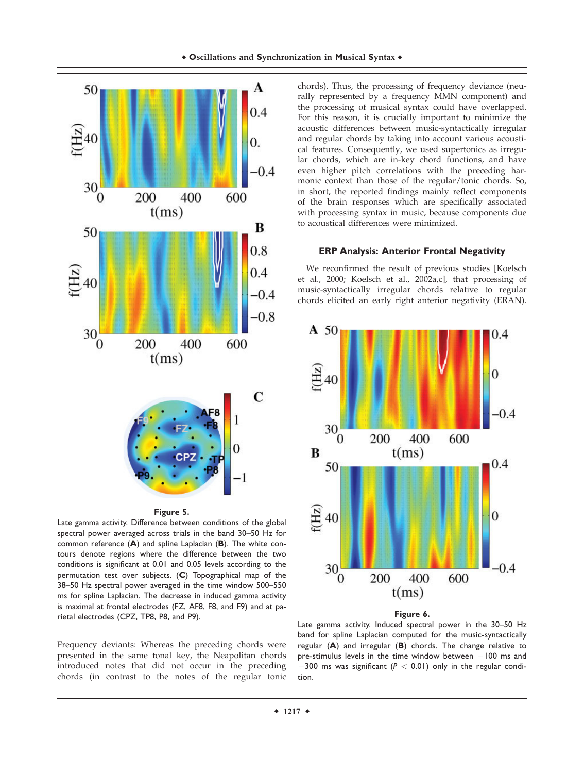

#### **Figure 5.**

Late gamma activity. Difference between conditions of the global spectral power averaged across trials in the band 30–50 Hz for common reference (**A**) and spline Laplacian (**B**). The white contours denote regions where the difference between the two conditions is significant at 0.01 and 0.05 levels according to the permutation test over subjects. (**C**) Topographical map of the 38–50 Hz spectral power averaged in the time window 500–550 ms for spline Laplacian. The decrease in induced gamma activity is maximal at frontal electrodes (FZ, AF8, F8, and F9) and at parietal electrodes (CPZ, TP8, P8, and P9).

Frequency deviants: Whereas the preceding chords were presented in the same tonal key, the Neapolitan chords introduced notes that did not occur in the preceding chords (in contrast to the notes of the regular tonic

chords). Thus, the processing of frequency deviance (neurally represented by a frequency MMN component) and the processing of musical syntax could have overlapped. For this reason, it is crucially important to minimize the acoustic differences between music-syntactically irregular and regular chords by taking into account various acoustical features. Consequently, we used supertonics as irregular chords, which are in-key chord functions, and have even higher pitch correlations with the preceding harmonic context than those of the regular/tonic chords. So, in short, the reported findings mainly reflect components of the brain responses which are specifically associated with processing syntax in music, because components due to acoustical differences were minimized.

#### **ERP Analysis: Anterior Frontal Negativity**

We reconfirmed the result of previous studies [Koelsch et al., 2000; Koelsch et al., 2002a,c], that processing of music-syntactically irregular chords relative to regular chords elicited an early right anterior negativity (ERAN).



**Figure 6.**

Late gamma activity. Induced spectral power in the 30–50 Hz band for spline Laplacian computed for the music-syntactically regular (**A**) and irregular (**B**) chords. The change relative to pre-stimulus levels in the time window between  $-100$  ms and  $-300$  ms was significant ( $P < 0.01$ ) only in the regular condition.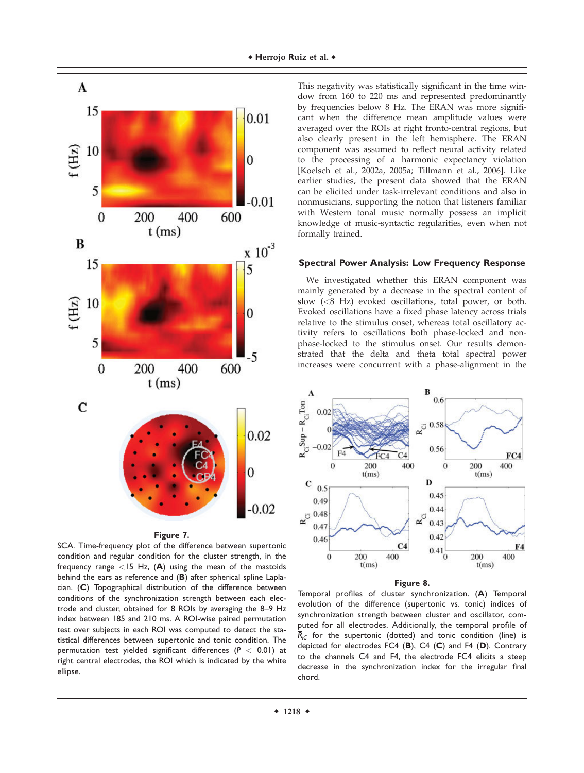



SCA. Time-frequency plot of the difference between supertonic condition and regular condition for the cluster strength, in the frequency range  $\langle 15 \text{ Hz}, (\textbf{A})$  using the mean of the mastoids behind the ears as reference and (**B**) after spherical spline Laplacian. (**C**) Topographical distribution of the difference between conditions of the synchronization strength between each electrode and cluster, obtained for 8 ROIs by averaging the 8–9 Hz index between 185 and 210 ms. A ROI-wise paired permutation test over subjects in each ROI was computed to detect the statistical differences between supertonic and tonic condition. The permutation test yielded significant differences (*P* < 0.01) at right central electrodes, the ROI which is indicated by the white ellipse.

This negativity was statistically significant in the time window from 160 to 220 ms and represented predominantly by frequencies below 8 Hz. The ERAN was more significant when the difference mean amplitude values were averaged over the ROIs at right fronto-central regions, but also clearly present in the left hemisphere. The ERAN component was assumed to reflect neural activity related to the processing of a harmonic expectancy violation [Koelsch et al., 2002a, 2005a; Tillmann et al., 2006]. Like earlier studies, the present data showed that the ERAN can be elicited under task-irrelevant conditions and also in nonmusicians, supporting the notion that listeners familiar with Western tonal music normally possess an implicit knowledge of music-syntactic regularities, even when not formally trained.

# **Spectral Power Analysis: Low Frequency Response**

We investigated whether this ERAN component was mainly generated by a decrease in the spectral content of slow (<8 Hz) evoked oscillations, total power, or both. Evoked oscillations have a fixed phase latency across trials relative to the stimulus onset, whereas total oscillatory activity refers to oscillations both phase-locked and nonphase-locked to the stimulus onset. Our results demonstrated that the delta and theta total spectral power increases were concurrent with a phase-alignment in the



#### **Figure 8.**

Temporal profiles of cluster synchronization. (**A**) Temporal evolution of the difference (supertonic vs. tonic) indices of synchronization strength between cluster and oscillator, computed for all electrodes. Additionally, the temporal profile of  $\overline{R}_{iC}$  for the supertonic (dotted) and tonic condition (line) is depicted for electrodes FC4 (**B**), C4 (**C**) and F4 (**D**). Contrary to the channels C4 and F4, the electrode FC4 elicits a steep decrease in the synchronization index for the irregular final chord.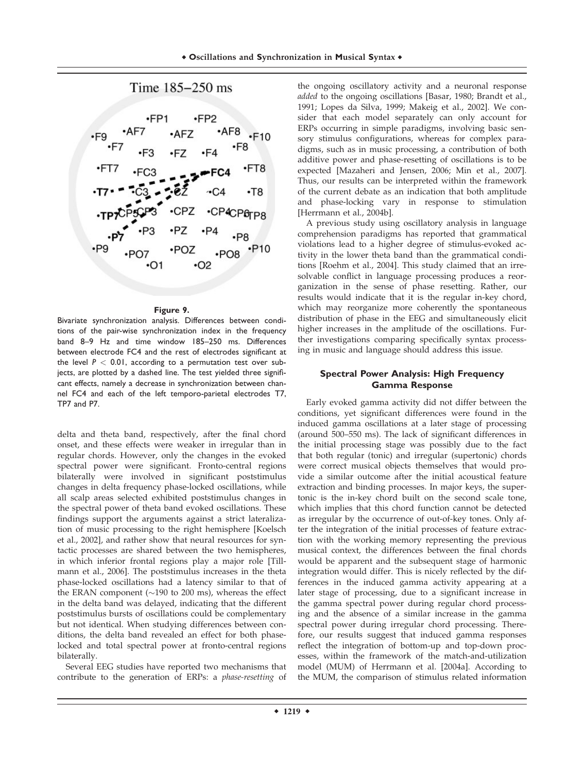



# **Figure 9.**

Bivariate synchronization analysis. Differences between conditions of the pair-wise synchronization index in the frequency band 8–9 Hz and time window 185–250 ms. Differences between electrode FC4 and the rest of electrodes significant at the level  $P < 0.01$ , according to a permutation test over subjects, are plotted by a dashed line. The test yielded three significant effects, namely a decrease in synchronization between channel FC4 and each of the left temporo-parietal electrodes T7, TP7 and P7.

delta and theta band, respectively, after the final chord onset, and these effects were weaker in irregular than in regular chords. However, only the changes in the evoked spectral power were significant. Fronto-central regions bilaterally were involved in significant poststimulus changes in delta frequency phase-locked oscillations, while all scalp areas selected exhibited poststimulus changes in the spectral power of theta band evoked oscillations. These findings support the arguments against a strict lateralization of music processing to the right hemisphere [Koelsch et al., 2002], and rather show that neural resources for syntactic processes are shared between the two hemispheres, in which inferior frontal regions play a major role [Tillmann et al., 2006]. The poststimulus increases in the theta phase-locked oscillations had a latency similar to that of the ERAN component ( $\sim$ 190 to 200 ms), whereas the effect in the delta band was delayed, indicating that the different poststimulus bursts of oscillations could be complementary but not identical. When studying differences between conditions, the delta band revealed an effect for both phaselocked and total spectral power at fronto-central regions bilaterally.

Several EEG studies have reported two mechanisms that contribute to the generation of ERPs: a phase-resetting of

the ongoing oscillatory activity and a neuronal response added to the ongoing oscillations [Basar, 1980; Brandt et al., 1991; Lopes da Silva, 1999; Makeig et al., 2002]. We consider that each model separately can only account for ERPs occurring in simple paradigms, involving basic sensory stimulus configurations, whereas for complex paradigms, such as in music processing, a contribution of both additive power and phase-resetting of oscillations is to be expected [Mazaheri and Jensen, 2006; Min et al., 2007]. Thus, our results can be interpreted within the framework of the current debate as an indication that both amplitude and phase-locking vary in response to stimulation [Herrmann et al., 2004b].

A previous study using oscillatory analysis in language comprehension paradigms has reported that grammatical violations lead to a higher degree of stimulus-evoked activity in the lower theta band than the grammatical conditions [Roehm et al., 2004]. This study claimed that an irresolvable conflict in language processing produces a reorganization in the sense of phase resetting. Rather, our results would indicate that it is the regular in-key chord, which may reorganize more coherently the spontaneous distribution of phase in the EEG and simultaneously elicit higher increases in the amplitude of the oscillations. Further investigations comparing specifically syntax processing in music and language should address this issue.

# **Spectral Power Analysis: High Frequency Gamma Response**

Early evoked gamma activity did not differ between the conditions, yet significant differences were found in the induced gamma oscillations at a later stage of processing (around 500–550 ms). The lack of significant differences in the initial processing stage was possibly due to the fact that both regular (tonic) and irregular (supertonic) chords were correct musical objects themselves that would provide a similar outcome after the initial acoustical feature extraction and binding processes. In major keys, the supertonic is the in-key chord built on the second scale tone, which implies that this chord function cannot be detected as irregular by the occurrence of out-of-key tones. Only after the integration of the initial processes of feature extraction with the working memory representing the previous musical context, the differences between the final chords would be apparent and the subsequent stage of harmonic integration would differ. This is nicely reflected by the differences in the induced gamma activity appearing at a later stage of processing, due to a significant increase in the gamma spectral power during regular chord processing and the absence of a similar increase in the gamma spectral power during irregular chord processing. Therefore, our results suggest that induced gamma responses reflect the integration of bottom-up and top-down processes, within the framework of the match-and-utilization model (MUM) of Herrmann et al. [2004a]. According to the MUM, the comparison of stimulus related information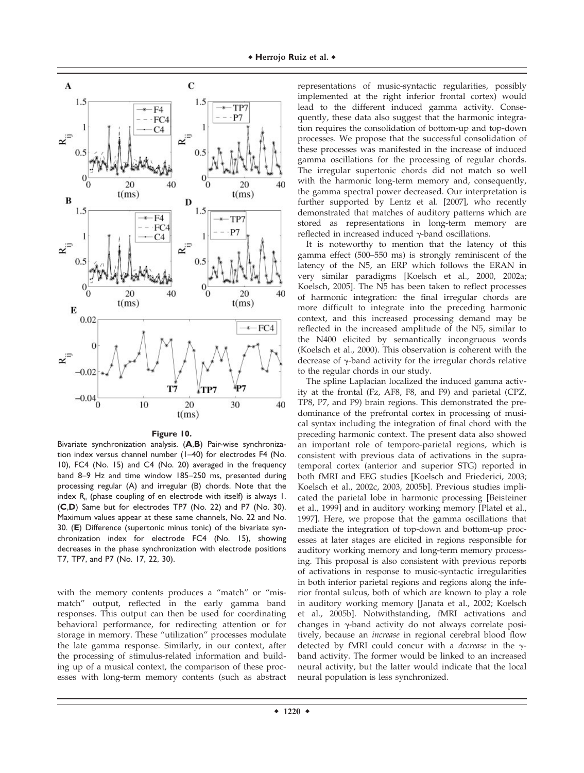

#### **Figure 10.**

Bivariate synchronization analysis. (**A**,**B**) Pair-wise synchronization index versus channel number (1–40) for electrodes F4 (No. 10), FC4 (No. 15) and C4 (No. 20) averaged in the frequency band 8–9 Hz and time window 185–250 ms, presented during processing regular (A) and irregular (B) chords. Note that the index R<sub>ii</sub> (phase coupling of en electrode with itself) is always 1. (**C**,**D**) Same but for electrodes TP7 (No. 22) and P7 (No. 30). Maximum values appear at these same channels, No. 22 and No. 30. (**E**) Difference (supertonic minus tonic) of the bivariate synchronization index for electrode FC4 (No. 15), showing decreases in the phase synchronization with electrode positions T7, TP7, and P7 (No. 17, 22, 30).

with the memory contents produces a "match" or "mismatch'' output, reflected in the early gamma band responses. This output can then be used for coordinating behavioral performance, for redirecting attention or for storage in memory. These ''utilization'' processes modulate the late gamma response. Similarly, in our context, after the processing of stimulus-related information and building up of a musical context, the comparison of these processes with long-term memory contents (such as abstract representations of music-syntactic regularities, possibly implemented at the right inferior frontal cortex) would lead to the different induced gamma activity. Consequently, these data also suggest that the harmonic integration requires the consolidation of bottom-up and top-down processes. We propose that the successful consolidation of these processes was manifested in the increase of induced gamma oscillations for the processing of regular chords. The irregular supertonic chords did not match so well with the harmonic long-term memory and, consequently, the gamma spectral power decreased. Our interpretation is further supported by Lentz et al. [2007], who recently demonstrated that matches of auditory patterns which are stored as representations in long-term memory are reflected in increased induced  $\gamma$ -band oscillations.

It is noteworthy to mention that the latency of this gamma effect (500–550 ms) is strongly reminiscent of the latency of the N5, an ERP which follows the ERAN in very similar paradigms [Koelsch et al., 2000, 2002a; Koelsch, 2005]. The N5 has been taken to reflect processes of harmonic integration: the final irregular chords are more difficult to integrate into the preceding harmonic context, and this increased processing demand may be reflected in the increased amplitude of the N5, similar to the N400 elicited by semantically incongruous words (Koelsch et al., 2000). This observation is coherent with the decrease of  $\gamma$ -band activity for the irregular chords relative to the regular chords in our study.

The spline Laplacian localized the induced gamma activity at the frontal (Fz, AF8, F8, and F9) and parietal (CPZ, TP8, P7, and P9) brain regions. This demonstrated the predominance of the prefrontal cortex in processing of musical syntax including the integration of final chord with the preceding harmonic context. The present data also showed an important role of temporo-parietal regions, which is consistent with previous data of activations in the supratemporal cortex (anterior and superior STG) reported in both fMRI and EEG studies [Koelsch and Friederici, 2003; Koelsch et al., 2002c, 2003, 2005b]. Previous studies implicated the parietal lobe in harmonic processing [Beisteiner et al., 1999] and in auditory working memory [Platel et al., 1997]. Here, we propose that the gamma oscillations that mediate the integration of top-down and bottom-up processes at later stages are elicited in regions responsible for auditory working memory and long-term memory processing. This proposal is also consistent with previous reports of activations in response to music-syntactic irregularities in both inferior parietal regions and regions along the inferior frontal sulcus, both of which are known to play a role in auditory working memory [Janata et al., 2002; Koelsch et al., 2005b]. Notwithstanding, fMRI activations and changes in  $\gamma$ -band activity do not always correlate positively, because an *increase* in regional cerebral blood flow detected by fMRI could concur with a *decrease* in the  $\gamma$ band activity. The former would be linked to an increased neural activity, but the latter would indicate that the local neural population is less synchronized.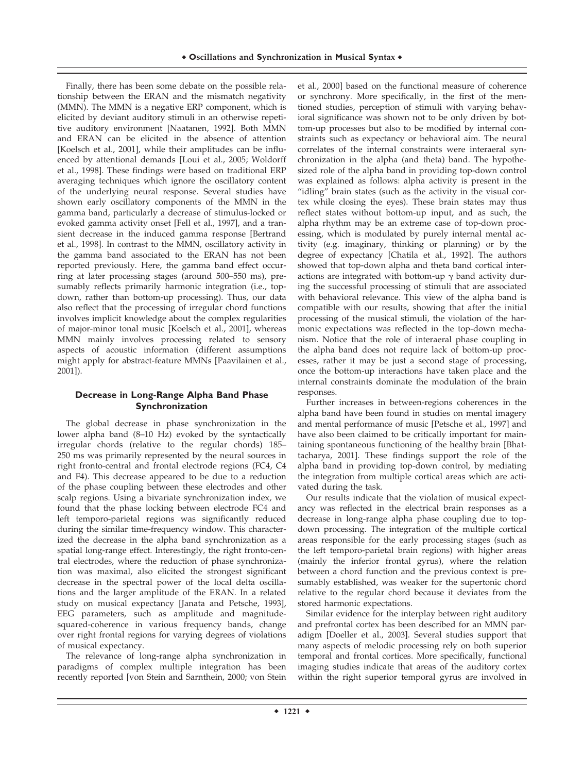Finally, there has been some debate on the possible relationship between the ERAN and the mismatch negativity (MMN). The MMN is a negative ERP component, which is elicited by deviant auditory stimuli in an otherwise repetitive auditory environment [Naatanen, 1992]. Both MMN and ERAN can be elicited in the absence of attention [Koelsch et al., 2001], while their amplitudes can be influenced by attentional demands [Loui et al., 2005; Woldorff et al., 1998]. These findings were based on traditional ERP averaging techniques which ignore the oscillatory content of the underlying neural response. Several studies have shown early oscillatory components of the MMN in the gamma band, particularly a decrease of stimulus-locked or evoked gamma activity onset [Fell et al., 1997], and a transient decrease in the induced gamma response [Bertrand et al., 1998]. In contrast to the MMN, oscillatory activity in the gamma band associated to the ERAN has not been reported previously. Here, the gamma band effect occurring at later processing stages (around 500–550 ms), presumably reflects primarily harmonic integration (i.e., topdown, rather than bottom-up processing). Thus, our data also reflect that the processing of irregular chord functions involves implicit knowledge about the complex regularities of major-minor tonal music [Koelsch et al., 2001], whereas MMN mainly involves processing related to sensory aspects of acoustic information (different assumptions might apply for abstract-feature MMNs [Paavilainen et al., 2001]).

# **Decrease in Long-Range Alpha Band Phase Synchronization**

The global decrease in phase synchronization in the lower alpha band (8–10 Hz) evoked by the syntactically irregular chords (relative to the regular chords) 185– 250 ms was primarily represented by the neural sources in right fronto-central and frontal electrode regions (FC4, C4 and F4). This decrease appeared to be due to a reduction of the phase coupling between these electrodes and other scalp regions. Using a bivariate synchronization index, we found that the phase locking between electrode FC4 and left temporo-parietal regions was significantly reduced during the similar time-frequency window. This characterized the decrease in the alpha band synchronization as a spatial long-range effect. Interestingly, the right fronto-central electrodes, where the reduction of phase synchronization was maximal, also elicited the strongest significant decrease in the spectral power of the local delta oscillations and the larger amplitude of the ERAN. In a related study on musical expectancy [Janata and Petsche, 1993], EEG parameters, such as amplitude and magnitudesquared-coherence in various frequency bands, change over right frontal regions for varying degrees of violations of musical expectancy.

The relevance of long-range alpha synchronization in paradigms of complex multiple integration has been recently reported [von Stein and Sarnthein, 2000; von Stein et al., 2000] based on the functional measure of coherence or synchrony. More specifically, in the first of the mentioned studies, perception of stimuli with varying behavioral significance was shown not to be only driven by bottom-up processes but also to be modified by internal constraints such as expectancy or behavioral aim. The neural correlates of the internal constraints were interaeral synchronization in the alpha (and theta) band. The hypothesized role of the alpha band in providing top-down control was explained as follows: alpha activity is present in the "idling" brain states (such as the activity in the visual cortex while closing the eyes). These brain states may thus reflect states without bottom-up input, and as such, the alpha rhythm may be an extreme case of top-down processing, which is modulated by purely internal mental activity (e.g. imaginary, thinking or planning) or by the degree of expectancy [Chatila et al., 1992]. The authors showed that top-down alpha and theta band cortical interactions are integrated with bottom-up  $\gamma$  band activity during the successful processing of stimuli that are associated with behavioral relevance. This view of the alpha band is compatible with our results, showing that after the initial processing of the musical stimuli, the violation of the harmonic expectations was reflected in the top-down mechanism. Notice that the role of interaeral phase coupling in the alpha band does not require lack of bottom-up processes, rather it may be just a second stage of processing, once the bottom-up interactions have taken place and the internal constraints dominate the modulation of the brain responses.

Further increases in between-regions coherences in the alpha band have been found in studies on mental imagery and mental performance of music [Petsche et al., 1997] and have also been claimed to be critically important for maintaining spontaneous functioning of the healthy brain [Bhattacharya, 2001]. These findings support the role of the alpha band in providing top-down control, by mediating the integration from multiple cortical areas which are activated during the task.

Our results indicate that the violation of musical expectancy was reflected in the electrical brain responses as a decrease in long-range alpha phase coupling due to topdown processing. The integration of the multiple cortical areas responsible for the early processing stages (such as the left temporo-parietal brain regions) with higher areas (mainly the inferior frontal gyrus), where the relation between a chord function and the previous context is presumably established, was weaker for the supertonic chord relative to the regular chord because it deviates from the stored harmonic expectations.

Similar evidence for the interplay between right auditory and prefrontal cortex has been described for an MMN paradigm [Doeller et al., 2003]. Several studies support that many aspects of melodic processing rely on both superior temporal and frontal cortices. More specifically, functional imaging studies indicate that areas of the auditory cortex within the right superior temporal gyrus are involved in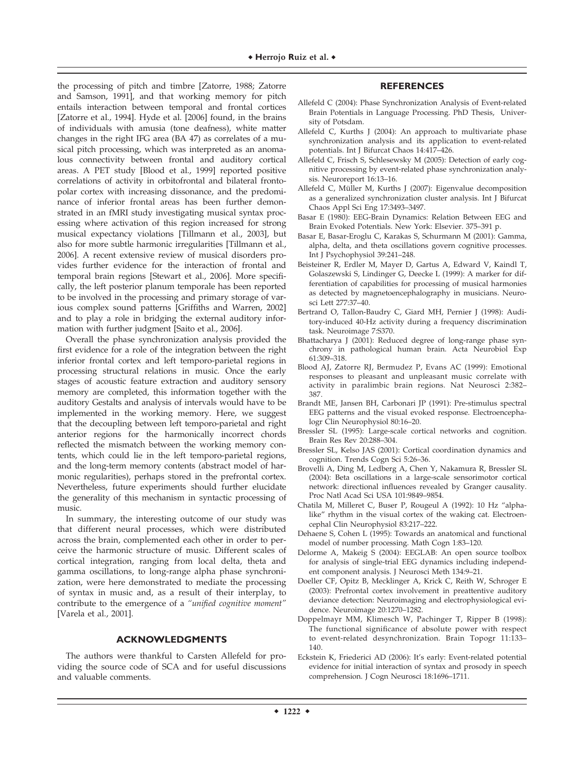the processing of pitch and timbre [Zatorre, 1988; Zatorre and Samson, 1991], and that working memory for pitch entails interaction between temporal and frontal cortices [Zatorre et al., 1994]. Hyde et al. [2006] found, in the brains of individuals with amusia (tone deafness), white matter changes in the right IFG area (BA 47) as correlates of a musical pitch processing, which was interpreted as an anomalous connectivity between frontal and auditory cortical areas. A PET study [Blood et al., 1999] reported positive correlations of activity in orbitofrontal and bilateral frontopolar cortex with increasing dissonance, and the predominance of inferior frontal areas has been further demonstrated in an fMRI study investigating musical syntax processing where activation of this region increased for strong musical expectancy violations [Tillmann et al., 2003], but also for more subtle harmonic irregularities [Tillmann et al., 2006]. A recent extensive review of musical disorders provides further evidence for the interaction of frontal and temporal brain regions [Stewart et al., 2006]. More specifically, the left posterior planum temporale has been reported to be involved in the processing and primary storage of various complex sound patterns [Griffiths and Warren, 2002] and to play a role in bridging the external auditory information with further judgment [Saito et al., 2006].

Overall the phase synchronization analysis provided the first evidence for a role of the integration between the right inferior frontal cortex and left temporo-parietal regions in processing structural relations in music. Once the early stages of acoustic feature extraction and auditory sensory memory are completed, this information together with the auditory Gestalts and analysis of intervals would have to be implemented in the working memory. Here, we suggest that the decoupling between left temporo-parietal and right anterior regions for the harmonically incorrect chords reflected the mismatch between the working memory contents, which could lie in the left temporo-parietal regions, and the long-term memory contents (abstract model of harmonic regularities), perhaps stored in the prefrontal cortex. Nevertheless, future experiments should further elucidate the generality of this mechanism in syntactic processing of music.

In summary, the interesting outcome of our study was that different neural processes, which were distributed across the brain, complemented each other in order to perceive the harmonic structure of music. Different scales of cortical integration, ranging from local delta, theta and gamma oscillations, to long-range alpha phase synchronization, were here demonstrated to mediate the processing of syntax in music and, as a result of their interplay, to contribute to the emergence of a ''unified cognitive moment'' [Varela et al., 2001].

# **ACKNOWLEDGMENTS**

The authors were thankful to Carsten Allefeld for providing the source code of SCA and for useful discussions and valuable comments.

#### **REFERENCES**

- Allefeld C (2004): Phase Synchronization Analysis of Event-related Brain Potentials in Language Processing. PhD Thesis, University of Potsdam.
- Allefeld C, Kurths J (2004): An approach to multivariate phase synchronization analysis and its application to event-related potentials. Int J Bifurcat Chaos 14:417–426.
- Allefeld C, Frisch S, Schlesewsky M (2005): Detection of early cognitive processing by event-related phase synchronization analysis. Neuroreport 16:13–16.
- Allefeld C, Müller M, Kurths J (2007): Eigenvalue decomposition as a generalized synchronization cluster analysis. Int J Bifurcat Chaos Appl Sci Eng 17:3493–3497.
- Basar E (1980): EEG-Brain Dynamics: Relation Between EEG and Brain Evoked Potentials. New York: Elsevier. 375–391 p.
- Basar E, Basar-Eroglu C, Karakas S, Schurmann M (2001): Gamma, alpha, delta, and theta oscillations govern cognitive processes. Int J Psychophysiol 39:241–248.
- Beisteiner R, Erdler M, Mayer D, Gartus A, Edward V, Kaindl T, Golaszewski S, Lindinger G, Deecke L (1999): A marker for differentiation of capabilities for processing of musical harmonies as detected by magnetoencephalography in musicians. Neurosci Lett 277:37–40.
- Bertrand O, Tallon-Baudry C, Giard MH, Pernier J (1998): Auditory-induced 40-Hz activity during a frequency discrimination task. Neuroimage 7:S370.
- Bhattacharya J (2001): Reduced degree of long-range phase synchrony in pathological human brain. Acta Neurobiol Exp 61:309–318.
- Blood AJ, Zatorre RJ, Bermudez P, Evans AC (1999): Emotional responses to pleasant and unpleasant music correlate with activity in paralimbic brain regions. Nat Neurosci 2:382– 387.
- Brandt ME, Jansen BH, Carbonari JP (1991): Pre-stimulus spectral EEG patterns and the visual evoked response. Electroencephalogr Clin Neurophysiol 80:16–20.
- Bressler SL (1995): Large-scale cortical networks and cognition. Brain Res Rev 20:288–304.
- Bressler SL, Kelso JAS (2001): Cortical coordination dynamics and cognition. Trends Cogn Sci 5:26–36.
- Brovelli A, Ding M, Ledberg A, Chen Y, Nakamura R, Bressler SL (2004): Beta oscillations in a large-scale sensorimotor cortical network: directional influences revealed by Granger causality. Proc Natl Acad Sci USA 101:9849–9854.
- Chatila M, Milleret C, Buser P, Rougeul A (1992): 10 Hz ''alphalike'' rhythm in the visual cortex of the waking cat. Electroencephal Clin Neurophysiol 83:217–222.
- Dehaene S, Cohen L (1995): Towards an anatomical and functional model of number processing. Math Cogn 1:83–120.
- Delorme A, Makeig S (2004): EEGLAB: An open source toolbox for analysis of single-trial EEG dynamics including independent component analysis. J Neurosci Meth 134:9–21.
- Doeller CF, Opitz B, Mecklinger A, Krick C, Reith W, Schroger E (2003): Prefrontal cortex involvement in preattentive auditory deviance detection: Neuroimaging and electrophysiological evidence. Neuroimage 20:1270–1282.
- Doppelmayr MM, Klimesch W, Pachinger T, Ripper B (1998): The functional significance of absolute power with respect to event-related desynchronization. Brain Topogr 11:133– 140.
- Eckstein K, Friederici AD (2006): It's early: Event-related potential evidence for initial interaction of syntax and prosody in speech comprehension. J Cogn Neurosci 18:1696–1711.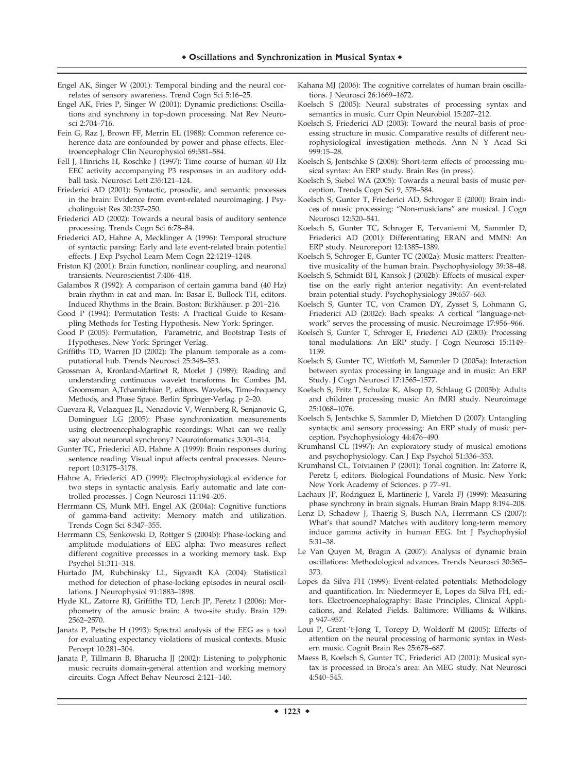- Engel AK, Singer W (2001): Temporal binding and the neural correlates of sensory awareness. Trend Cogn Sci 5:16–25.
- Engel AK, Fries P, Singer W (2001): Dynamic predictions: Oscillations and synchrony in top-down processing. Nat Rev Neurosci 2:704–716.
- Fein G, Raz J, Brown FF, Merrin EL (1988): Common reference coherence data are confounded by power and phase effects. Electroencephalogr Clin Neurophysiol 69:581–584.
- Fell J, Hinrichs H, Roschke J (1997): Time course of human 40 Hz EEC activity accompanying P3 responses in an auditory oddball task. Neurosci Lett 235:121–124.
- Friederici AD (2001): Syntactic, prosodic, and semantic processes in the brain: Evidence from event-related neuroimaging. J Psycholinguist Res 30:237–250.
- Friederici AD (2002): Towards a neural basis of auditory sentence processing. Trends Cogn Sci 6:78–84.
- Friederici AD, Hahne A, Mecklinger A (1996): Temporal structure of syntactic parsing: Early and late event-related brain potential effects. J Exp Psychol Learn Mem Cogn 22:1219–1248.
- Friston KJ (2001): Brain function, nonlinear coupling, and neuronal transients. Neuroscientist 7:406–418.
- Galambos R (1992): A comparison of certain gamma band (40 Hz) brain rhythm in cat and man. In: Basar E, Bullock TH, editors. Induced Rhythms in the Brain. Boston: Birkhäuser. p 201-216.
- Good P (1994): Permutation Tests: A Practical Guide to Resampling Methods for Testing Hypothesis. New York: Springer.
- Good P (2005): Permutation, Parametric, and Bootstrap Tests of Hypotheses. New York: Springer Verlag.
- Griffiths TD, Warren JD (2002): The planum temporale as a computational hub. Trends Neurosci 25:348–353.
- Grossman A, Kronland-Martinet R, Morlet J (1989): Reading and understanding continuous wavelet transforms. In: Combes JM, Groomsman A,Tchamitchian P, editors. Wavelets, Time-frequency Methods, and Phase Space. Berlin: Springer-Verlag. p 2–20.
- Guevara R, Velazquez JL, Nenadovic V, Wennberg R, Senjanovic G, Dominguez LG (2005): Phase synchronization measurements using electroencephalographic recordings: What can we really say about neuronal synchrony? Neuroinformatics 3:301–314.
- Gunter TC, Friederici AD, Hahne A (1999): Brain responses during sentence reading: Visual input affects central processes. Neuroreport 10:3175–3178.
- Hahne A, Friederici AD (1999): Electrophysiological evidence for two steps in syntactic analysis. Early automatic and late controlled processes. J Cogn Neurosci 11:194–205.
- Herrmann CS, Munk MH, Engel AK (2004a): Cognitive functions of gamma-band activity: Memory match and utilization. Trends Cogn Sci 8:347–355.
- Herrmann CS, Senkowski D, Rottger S (2004b): Phase-locking and amplitude modulations of EEG alpha: Two measures reflect different cognitive processes in a working memory task. Exp Psychol 51:311–318.
- Hurtado JM, Rubchinsky LL, Sigvardt KA (2004): Statistical method for detection of phase-locking episodes in neural oscillations. J Neurophysiol 91:1883–1898.
- Hyde KL, Zatorre RJ, Griffiths TD, Lerch JP, Peretz I (2006): Morphometry of the amusic brain: A two-site study. Brain 129: 2562–2570.
- Janata P, Petsche H (1993): Spectral analysis of the EEG as a tool for evaluating expectancy violations of musical contexts. Music Percept 10:281–304.
- Janata P, Tillmann B, Bharucha JJ (2002): Listening to polyphonic music recruits domain-general attention and working memory circuits. Cogn Affect Behav Neurosci 2:121–140.
- Kahana MJ (2006): The cognitive correlates of human brain oscillations. J Neurosci 26:1669–1672.
- Koelsch S (2005): Neural substrates of processing syntax and semantics in music. Curr Opin Neurobiol 15:207–212.
- Koelsch S, Friederici AD (2003): Toward the neural basis of processing structure in music. Comparative results of different neurophysiological investigation methods. Ann N Y Acad Sci 999:15–28.
- Koelsch S, Jentschke S (2008): Short-term effects of processing musical syntax: An ERP study. Brain Res (in press).
- Koelsch S, Siebel WA (2005): Towards a neural basis of music perception. Trends Cogn Sci 9, 578–584.
- Koelsch S, Gunter T, Friederici AD, Schroger E (2000): Brain indices of music processing: ''Non-musicians'' are musical. J Cogn Neurosci 12:520–541.
- Koelsch S, Gunter TC, Schroger E, Tervaniemi M, Sammler D, Friederici AD (2001): Differentiating ERAN and MMN: An ERP study. Neuroreport 12:1385–1389.
- Koelsch S, Schroger E, Gunter TC (2002a): Music matters: Preattentive musicality of the human brain. Psychophysiology 39:38–48.
- Koelsch S, Schmidt BH, Kansok J (2002b): Effects of musical expertise on the early right anterior negativity: An event-related brain potential study. Psychophysiology 39:657–663.
- Koelsch S, Gunter TC, von Cramon DY, Zysset S, Lohmann G, Friederici AD (2002c): Bach speaks: A cortical ''language-network'' serves the processing of music. Neuroimage 17:956–966.
- Koelsch S, Gunter T, Schroger E, Friederici AD (2003): Processing tonal modulations: An ERP study. J Cogn Neurosci 15:1149– 1159.
- Koelsch S, Gunter TC, Wittfoth M, Sammler D (2005a): Interaction between syntax processing in language and in music: An ERP Study. J Cogn Neurosci 17:1565–1577.
- Koelsch S, Fritz T, Schulze K, Alsop D, Schlaug G (2005b): Adults and children processing music: An fMRI study. Neuroimage 25:1068–1076.
- Koelsch S, Jentschke S, Sammler D, Mietchen D (2007): Untangling syntactic and sensory processing: An ERP study of music perception. Psychophysiology 44:476–490.
- Krumhansl CL (1997): An exploratory study of musical emotions and psychophysiology. Can J Exp Psychol 51:336–353.
- Krumhansl CL, Toiviainen P (2001): Tonal cognition. In: Zatorre R, Peretz I, editors. Biological Foundations of Music. New York: New York Academy of Sciences. p 77–91.
- Lachaux JP, Rodriguez E, Martinerie J, Varela FJ (1999): Measuring phase synchrony in brain signals. Human Brain Mapp 8:194–208.
- Lenz D, Schadow J, Thaerig S, Busch NA, Herrmann CS (2007): What's that sound? Matches with auditory long-term memory induce gamma activity in human EEG. Int J Psychophysiol 5:31–38.
- Le Van Quyen M, Bragin A (2007): Analysis of dynamic brain oscillations: Methodological advances. Trends Neurosci 30:365– 373.
- Lopes da Silva FH (1999): Event-related potentials: Methodology and quantification. In: Niedermeyer E, Lopes da Silva FH, editors. Electroencephalography: Basic Principles, Clinical Applications, and Related Fields. Baltimore: Williams & Wilkins. p 947–957.
- Loui P, Grent-'t-Jong T, Torepy D, Woldorff M (2005): Effects of attention on the neural processing of harmonic syntax in Western music. Cognit Brain Res 25:678–687.
- Maess B, Koelsch S, Gunter TC, Friederici AD (2001): Musical syntax is processed in Broca's area: An MEG study. Nat Neurosci 4:540–545.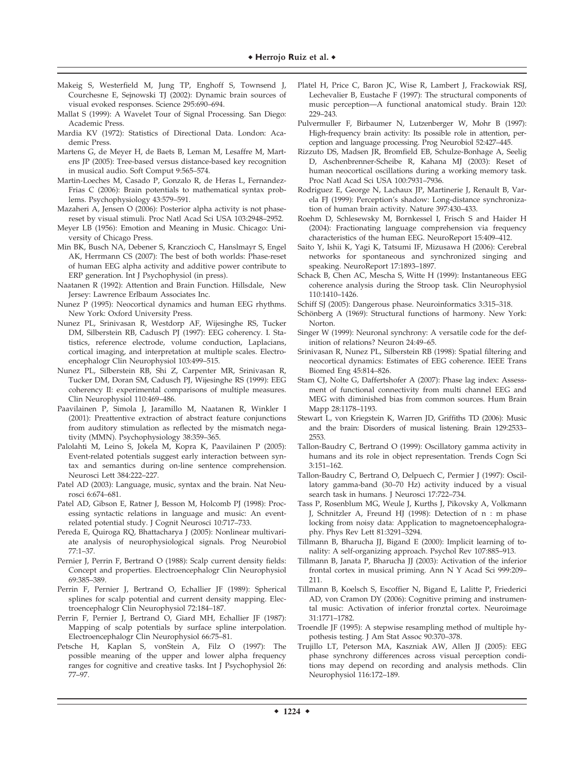- Makeig S, Westerfield M, Jung TP, Enghoff S, Townsend J, Courchesne E, Sejnowski TJ (2002): Dynamic brain sources of visual evoked responses. Science 295:690–694.
- Mallat S (1999): A Wavelet Tour of Signal Processing. San Diego: Academic Press.
- Mardia KV (1972): Statistics of Directional Data. London: Academic Press.
- Martens G, de Meyer H, de Baets B, Leman M, Lesaffre M, Martens JP (2005): Tree-based versus distance-based key recognition in musical audio. Soft Comput 9:565–574.
- Martin-Loeches M, Casado P, Gonzalo R, de Heras L, Fernandez-Frias C (2006): Brain potentials to mathematical syntax problems. Psychophysiology 43:579–591.
- Mazaheri A, Jensen O (2006): Posterior alpha activity is not phasereset by visual stimuli. Proc Natl Acad Sci USA 103:2948–2952.
- Meyer LB (1956): Emotion and Meaning in Music. Chicago: University of Chicago Press.
- Min BK, Busch NA, Debener S, Kranczioch C, Hanslmayr S, Engel AK, Herrmann CS (2007): The best of both worlds: Phase-reset of human EEG alpha activity and additive power contribute to ERP generation. Int J Psychophysiol (in press).
- Naatanen R (1992): Attention and Brain Function. Hillsdale, New Jersey: Lawrence Erlbaum Associates Inc.
- Nunez P (1995): Neocortical dynamics and human EEG rhythms. New York: Oxford University Press.
- Nunez PL, Srinivasan R, Westdorp AF, Wijesinghe RS, Tucker DM, Silberstein RB, Cadusch PJ (1997): EEG coherency. I. Statistics, reference electrode, volume conduction, Laplacians, cortical imaging, and interpretation at multiple scales. Electroencephalogr Clin Neurophysiol 103:499–515.
- Nunez PL, Silberstein RB, Shi Z, Carpenter MR, Srinivasan R, Tucker DM, Doran SM, Cadusch PJ, Wijesinghe RS (1999): EEG coherency II: experimental comparisons of multiple measures. Clin Neurophysiol 110:469–486.
- Paavilainen P, Simola J, Jaramillo M, Naatanen R, Winkler I (2001): Preattentive extraction of abstract feature conjunctions from auditory stimulation as reflected by the mismatch negativity (MMN). Psychophysiology 38:359–365.
- Palolahti M, Leino S, Jokela M, Kopra K, Paavilainen P (2005): Event-related potentials suggest early interaction between syntax and semantics during on-line sentence comprehension. Neurosci Lett 384:222–227.
- Patel AD (2003): Language, music, syntax and the brain. Nat Neurosci 6:674–681.
- Patel AD, Gibson E, Ratner J, Besson M, Holcomb PJ (1998): Processing syntactic relations in language and music: An eventrelated potential study. J Cognit Neurosci 10:717–733.
- Pereda E, Quiroga RQ, Bhattacharya J (2005): Nonlinear multivariate analysis of neurophysiological signals. Prog Neurobiol 77:1–37.
- Pernier J, Perrin F, Bertrand O (1988): Scalp current density fields: Concept and properties. Electroencephalogr Clin Neurophysiol 69:385–389.
- Perrin F, Pernier J, Bertrand O, Echallier JF (1989): Spherical splines for scalp potential and current density mapping. Electroencephalogr Clin Neurophysiol 72:184–187.
- Perrin F, Pernier J, Bertrand O, Giard MH, Echallier JF (1987): Mapping of scalp potentials by surface spline interpolation. Electroencephalogr Clin Neurophysiol 66:75–81.
- Petsche H, Kaplan S, vonStein A, Filz O (1997): The possible meaning of the upper and lower alpha frequency ranges for cognitive and creative tasks. Int J Psychophysiol 26: 77–97.
- Platel H, Price C, Baron JC, Wise R, Lambert J, Frackowiak RSJ, Lechevalier B, Eustache F (1997): The structural components of music perception—A functional anatomical study. Brain 120: 229–243.
- Pulvermuller F, Birbaumer N, Lutzenberger W, Mohr B (1997): High-frequency brain activity: Its possible role in attention, perception and language processing. Prog Neurobiol 52:427–445.
- Rizzuto DS, Madsen JR, Bromfield EB, Schulze-Bonhage A, Seelig D, Aschenbrenner-Scheibe R, Kahana MJ (2003): Reset of human neocortical oscillations during a working memory task. Proc Natl Acad Sci USA 100:7931–7936.
- Rodriguez E, George N, Lachaux JP, Martinerie J, Renault B, Varela FJ (1999): Perception's shadow: Long-distance synchronization of human brain activity. Nature 397:430–433.
- Roehm D, Schlesewsky M, Bornkessel I, Frisch S and Haider H (2004): Fractionating language comprehension via frequency characteristics of the human EEG. NeuroReport 15:409–412.
- Saito Y, Ishii K, Yagi K, Tatsumi IF, Mizusawa H (2006): Cerebral networks for spontaneous and synchronized singing and speaking. NeuroReport 17:1893–1897.
- Schack B, Chen AC, Mescha S, Witte H (1999): Instantaneous EEG coherence analysis during the Stroop task. Clin Neurophysiol 110:1410–1426.
- Schiff SJ (2005): Dangerous phase. Neuroinformatics 3:315–318.
- Schönberg A (1969): Structural functions of harmony. New York: Norton.
- Singer W (1999): Neuronal synchrony: A versatile code for the definition of relations? Neuron 24:49–65.
- Srinivasan R, Nunez PL, Silberstein RB (1998): Spatial filtering and neocortical dynamics: Estimates of EEG coherence. IEEE Trans Biomed Eng 45:814–826.
- Stam CJ, Nolte G, Daffertshofer A (2007): Phase lag index: Assessment of functional connectivity from multi channel EEG and MEG with diminished bias from common sources. Hum Brain Mapp 28:1178–1193.
- Stewart L, von Kriegstein K, Warren JD, Griffiths TD (2006): Music and the brain: Disorders of musical listening. Brain 129:2533– 2553.
- Tallon-Baudry C, Bertrand O (1999): Oscillatory gamma activity in humans and its role in object representation. Trends Cogn Sci 3:151–162.
- Tallon-Baudry C, Bertrand O, Delpuech C, Permier J (1997): Oscillatory gamma-band (30–70 Hz) activity induced by a visual search task in humans. J Neurosci 17:722–734.
- Tass P, Rosenblum MG, Weule J, Kurths J, Pikovsky A, Volkmann J, Schnitzler A, Freund HJ (1998): Detection of n : m phase locking from noisy data: Application to magnetoencephalography. Phys Rev Lett 81:3291–3294.
- Tillmann B, Bharucha JJ, Bigand E (2000): Implicit learning of tonality: A self-organizing approach. Psychol Rev 107:885–913.
- Tillmann B, Janata P, Bharucha JJ (2003): Activation of the inferior frontal cortex in musical priming. Ann N Y Acad Sci 999:209– 211.
- Tillmann B, Koelsch S, Escoffier N, Bigand E, Lalitte P, Friederici AD, von Cramon DY (2006): Cognitive priming and instrumental music: Activation of inferior fronztal cortex. Neuroimage 31:1771–1782.
- Troendle JF (1995): A stepwise resampling method of multiple hypothesis testing. J Am Stat Assoc 90:370–378.
- Trujillo LT, Peterson MA, Kaszniak AW, Allen JJ (2005): EEG phase synchrony differences across visual perception conditions may depend on recording and analysis methods. Clin Neurophysiol 116:172–189.